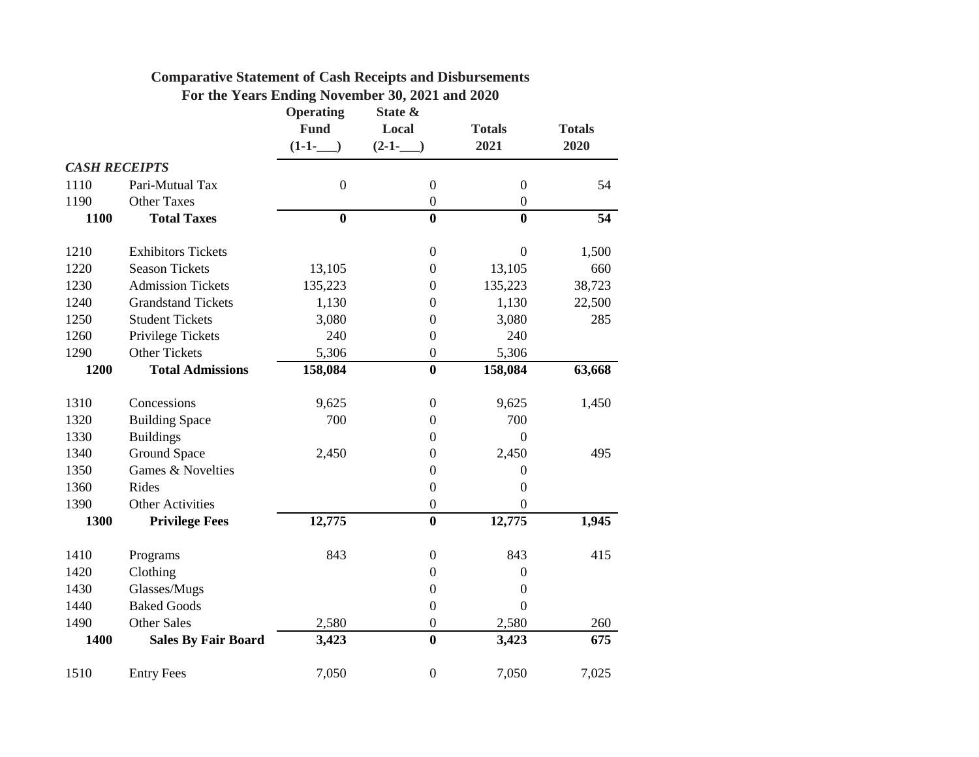|                      |                            |                  | For the Years Ending November 30, 2021 and 2020 |                  |               |
|----------------------|----------------------------|------------------|-------------------------------------------------|------------------|---------------|
|                      |                            | <b>Operating</b> | State &                                         |                  |               |
|                      |                            | <b>Fund</b>      | Local                                           | <b>Totals</b>    | <b>Totals</b> |
|                      |                            | $(1-1-$          | $(2-1-$                                         | 2021             | 2020          |
| <b>CASH RECEIPTS</b> |                            |                  |                                                 |                  |               |
| 1110                 | Pari-Mutual Tax            | $\boldsymbol{0}$ | $\boldsymbol{0}$                                | $\boldsymbol{0}$ | 54            |
| 1190                 | <b>Other Taxes</b>         |                  | $\boldsymbol{0}$                                | $\boldsymbol{0}$ |               |
| 1100                 | <b>Total Taxes</b>         | $\bf{0}$         | $\bf{0}$                                        | $\bf{0}$         | 54            |
| 1210                 | <b>Exhibitors Tickets</b>  |                  | $\boldsymbol{0}$                                | $\boldsymbol{0}$ | 1,500         |
| 1220                 | <b>Season Tickets</b>      | 13,105           | $\boldsymbol{0}$                                | 13,105           | 660           |
| 1230                 | <b>Admission Tickets</b>   | 135,223          | $\boldsymbol{0}$                                | 135,223          | 38,723        |
| 1240                 | <b>Grandstand Tickets</b>  | 1,130            | $\boldsymbol{0}$                                | 1,130            | 22,500        |
| 1250                 | <b>Student Tickets</b>     | 3,080            | $\overline{0}$                                  | 3,080            | 285           |
| 1260                 | Privilege Tickets          | 240              | 0                                               | 240              |               |
| 1290                 | <b>Other Tickets</b>       | 5,306            | $\boldsymbol{0}$                                | 5,306            |               |
| 1200                 | <b>Total Admissions</b>    | 158,084          | $\boldsymbol{0}$                                | 158,084          | 63,668        |
|                      |                            |                  |                                                 |                  |               |
| 1310                 | Concessions                | 9,625            | $\boldsymbol{0}$                                | 9,625            | 1,450         |
| 1320                 | <b>Building Space</b>      | 700              | $\boldsymbol{0}$                                | 700              |               |
| 1330                 | <b>Buildings</b>           |                  | $\overline{0}$                                  | $\overline{0}$   |               |
| 1340                 | <b>Ground Space</b>        | 2,450            | $\boldsymbol{0}$                                | 2,450            | 495           |
| 1350                 | Games & Novelties          |                  | $\boldsymbol{0}$                                | $\boldsymbol{0}$ |               |
| 1360                 | Rides                      |                  | $\boldsymbol{0}$                                | $\overline{0}$   |               |
| 1390                 | <b>Other Activities</b>    |                  | $\boldsymbol{0}$                                | $\boldsymbol{0}$ |               |
| 1300                 | <b>Privilege Fees</b>      | 12,775           | $\overline{\mathbf{0}}$                         | 12,775           | 1,945         |
| 1410                 | Programs                   | 843              | $\boldsymbol{0}$                                | 843              | 415           |
| 1420                 | Clothing                   |                  | $\boldsymbol{0}$                                | $\boldsymbol{0}$ |               |
| 1430                 | Glasses/Mugs               |                  | $\boldsymbol{0}$                                | $\theta$         |               |
| 1440                 | <b>Baked Goods</b>         |                  | $\boldsymbol{0}$                                | $\Omega$         |               |
| 1490                 | <b>Other Sales</b>         | 2,580            | $\boldsymbol{0}$                                | 2,580            | 260           |
| 1400                 | <b>Sales By Fair Board</b> | 3,423            | $\bf{0}$                                        | 3,423            | 675           |
| 1510                 | <b>Entry Fees</b>          | 7,050            | $\boldsymbol{0}$                                | 7,050            | 7,025         |
|                      |                            |                  |                                                 |                  |               |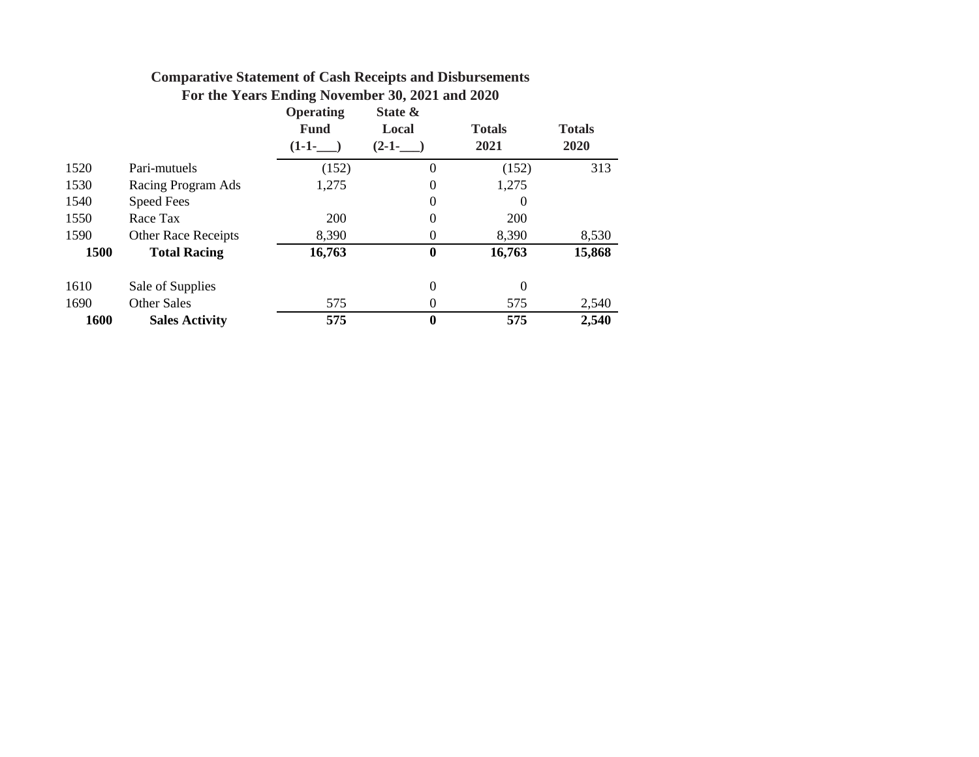| For the Years Ending November 30, 2021 and 2020 |  |  |  |  |  |
|-------------------------------------------------|--|--|--|--|--|
|-------------------------------------------------|--|--|--|--|--|

|      |                            | <b>Operating</b><br><b>Fund</b><br>$(1-1-$ | State &<br>Local<br>$(2-1-)$ | <b>Totals</b><br>2021 | <b>Totals</b><br>2020 |
|------|----------------------------|--------------------------------------------|------------------------------|-----------------------|-----------------------|
| 1520 | Pari-mutuels               | (152)                                      | 0                            | (152)                 | 313                   |
| 1530 | Racing Program Ads         | 1,275                                      | $\theta$                     | 1,275                 |                       |
| 1540 | <b>Speed Fees</b>          |                                            | $\Omega$                     | 0                     |                       |
| 1550 | Race Tax                   | <b>200</b>                                 | $\theta$                     | 200                   |                       |
| 1590 | <b>Other Race Receipts</b> | 8,390                                      | $_{0}$                       | 8,390                 | 8,530                 |
| 1500 | <b>Total Racing</b>        | 16,763                                     | $\bf{0}$                     | 16,763                | 15,868                |
| 1610 | Sale of Supplies           |                                            | $\boldsymbol{0}$             | $\theta$              |                       |
| 1690 | <b>Other Sales</b>         | 575                                        | $\theta$                     | 575                   | 2,540                 |
| 1600 | <b>Sales Activity</b>      | 575                                        | $\boldsymbol{0}$             | 575                   | 2,540                 |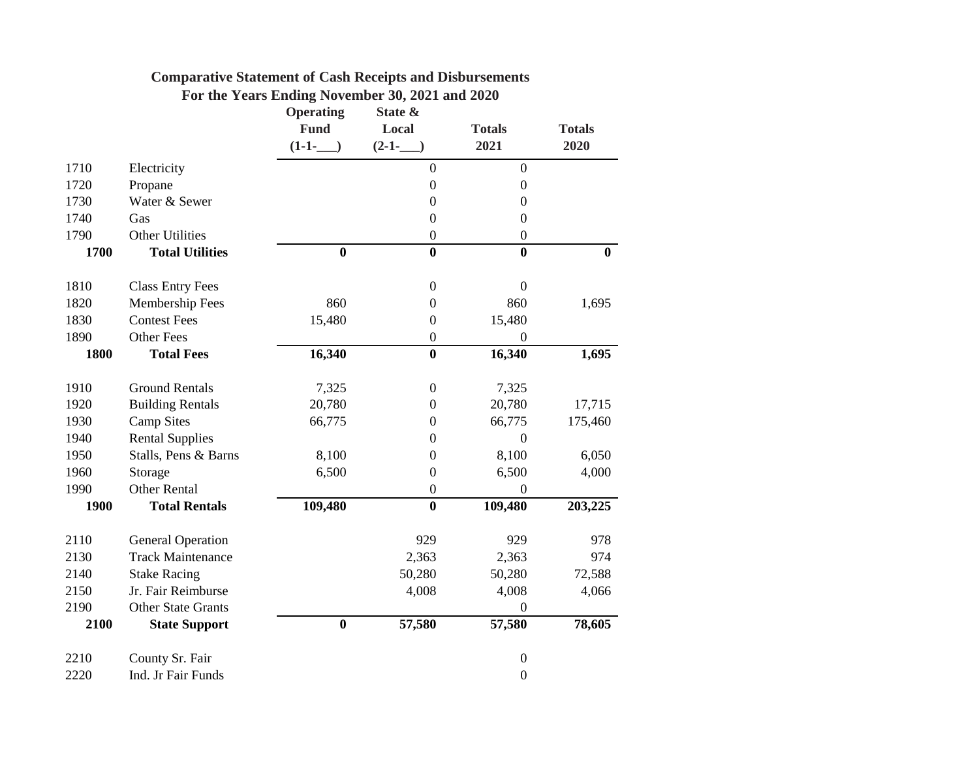|      |                           | <b>Operating</b><br><b>Fund</b> | State &<br>Local | <b>Totals</b>    | <b>Totals</b> |
|------|---------------------------|---------------------------------|------------------|------------------|---------------|
|      |                           | $(1-1-$                         | $(2-1-$          | 2021             | 2020          |
| 1710 | Electricity               |                                 | $\boldsymbol{0}$ | $\boldsymbol{0}$ |               |
| 1720 | Propane                   |                                 | $\boldsymbol{0}$ | $\boldsymbol{0}$ |               |
| 1730 | Water & Sewer             |                                 | $\boldsymbol{0}$ | $\boldsymbol{0}$ |               |
| 1740 | Gas                       |                                 | $\boldsymbol{0}$ | $\overline{0}$   |               |
| 1790 | <b>Other Utilities</b>    |                                 | $\boldsymbol{0}$ | $\boldsymbol{0}$ |               |
| 1700 | <b>Total Utilities</b>    | $\bf{0}$                        | $\bf{0}$         | $\bf{0}$         | $\bf{0}$      |
| 1810 | <b>Class Entry Fees</b>   |                                 | $\mathbf{0}$     | $\mathbf{0}$     |               |
| 1820 | Membership Fees           | 860                             | $\boldsymbol{0}$ | 860              | 1,695         |
| 1830 | <b>Contest Fees</b>       | 15,480                          | $\boldsymbol{0}$ | 15,480           |               |
| 1890 | <b>Other Fees</b>         |                                 | $\boldsymbol{0}$ | $\boldsymbol{0}$ |               |
| 1800 | <b>Total Fees</b>         | 16,340                          | $\bf{0}$         | 16,340           | 1,695         |
| 1910 | <b>Ground Rentals</b>     | 7,325                           | $\boldsymbol{0}$ | 7,325            |               |
| 1920 | <b>Building Rentals</b>   | 20,780                          | $\boldsymbol{0}$ | 20,780           | 17,715        |
| 1930 | <b>Camp Sites</b>         | 66,775                          | $\boldsymbol{0}$ | 66,775           | 175,460       |
| 1940 | <b>Rental Supplies</b>    |                                 | $\Omega$         | $\Omega$         |               |
| 1950 | Stalls, Pens & Barns      | 8,100                           | $\boldsymbol{0}$ | 8,100            | 6,050         |
| 1960 | Storage                   | 6,500                           | $\boldsymbol{0}$ | 6,500            | 4,000         |
| 1990 | <b>Other Rental</b>       |                                 | $\boldsymbol{0}$ | $\boldsymbol{0}$ |               |
| 1900 | <b>Total Rentals</b>      | 109,480                         | $\bf{0}$         | 109,480          | 203,225       |
| 2110 | <b>General Operation</b>  |                                 | 929              | 929              | 978           |
| 2130 | <b>Track Maintenance</b>  |                                 | 2,363            | 2,363            | 974           |
| 2140 | <b>Stake Racing</b>       |                                 | 50,280           | 50,280           | 72,588        |
| 2150 | Jr. Fair Reimburse        |                                 | 4,008            | 4,008            | 4,066         |
| 2190 | <b>Other State Grants</b> |                                 |                  | $\theta$         |               |
| 2100 | <b>State Support</b>      | $\boldsymbol{0}$                | 57,580           | 57,580           | 78,605        |
| 2210 | County Sr. Fair           |                                 |                  | $\boldsymbol{0}$ |               |
| 2220 | Ind. Jr Fair Funds        |                                 |                  | $\boldsymbol{0}$ |               |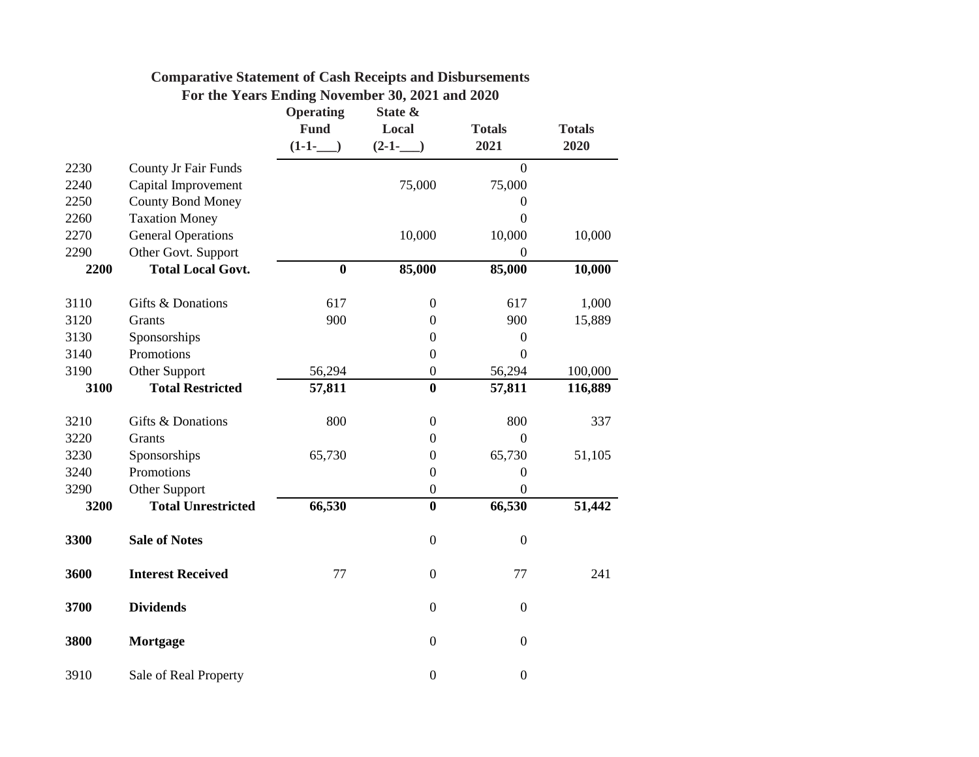|      |                             | <b>Operating</b><br><b>Fund</b><br>$(1-1-$ | State &<br>Local<br>$(2-1-$ | <b>Totals</b><br>2021 | <b>Totals</b><br>2020 |
|------|-----------------------------|--------------------------------------------|-----------------------------|-----------------------|-----------------------|
| 2230 | <b>County Jr Fair Funds</b> |                                            |                             | $\overline{0}$        |                       |
| 2240 | Capital Improvement         |                                            | 75,000                      | 75,000                |                       |
| 2250 | <b>County Bond Money</b>    |                                            |                             | $\Omega$              |                       |
| 2260 | <b>Taxation Money</b>       |                                            |                             | $\overline{0}$        |                       |
| 2270 | <b>General Operations</b>   |                                            | 10,000                      | 10,000                | 10,000                |
| 2290 | Other Govt. Support         |                                            |                             | $\theta$              |                       |
| 2200 | <b>Total Local Govt.</b>    | $\bf{0}$                                   | 85,000                      | 85,000                | 10,000                |
| 3110 | Gifts & Donations           | 617                                        | $\mathbf{0}$                | 617                   | 1,000                 |
| 3120 | Grants                      | 900                                        | $\boldsymbol{0}$            | 900                   | 15,889                |
| 3130 | Sponsorships                |                                            | $\boldsymbol{0}$            | $\boldsymbol{0}$      |                       |
| 3140 | Promotions                  |                                            | $\boldsymbol{0}$            | $\overline{0}$        |                       |
| 3190 | Other Support               | 56,294                                     | $\boldsymbol{0}$            | 56,294                | 100,000               |
| 3100 | <b>Total Restricted</b>     | 57,811                                     | $\bf{0}$                    | 57,811                | 116,889               |
| 3210 | Gifts & Donations           | 800                                        | $\boldsymbol{0}$            | 800                   | 337                   |
| 3220 | Grants                      |                                            | $\boldsymbol{0}$            | $\overline{0}$        |                       |
| 3230 | Sponsorships                | 65,730                                     | $\boldsymbol{0}$            | 65,730                | 51,105                |
| 3240 | Promotions                  |                                            | $\boldsymbol{0}$            | $\boldsymbol{0}$      |                       |
| 3290 | Other Support               |                                            | $\boldsymbol{0}$            | $\boldsymbol{0}$      |                       |
| 3200 | <b>Total Unrestricted</b>   | 66,530                                     | $\bf{0}$                    | 66,530                | 51,442                |
| 3300 | <b>Sale of Notes</b>        |                                            | $\boldsymbol{0}$            | $\boldsymbol{0}$      |                       |
| 3600 | <b>Interest Received</b>    | 77                                         | $\mathbf{0}$                | 77                    | 241                   |
| 3700 | <b>Dividends</b>            |                                            | $\overline{0}$              | $\boldsymbol{0}$      |                       |
| 3800 | <b>Mortgage</b>             |                                            | $\boldsymbol{0}$            | $\boldsymbol{0}$      |                       |
| 3910 | Sale of Real Property       |                                            | $\overline{0}$              | $\boldsymbol{0}$      |                       |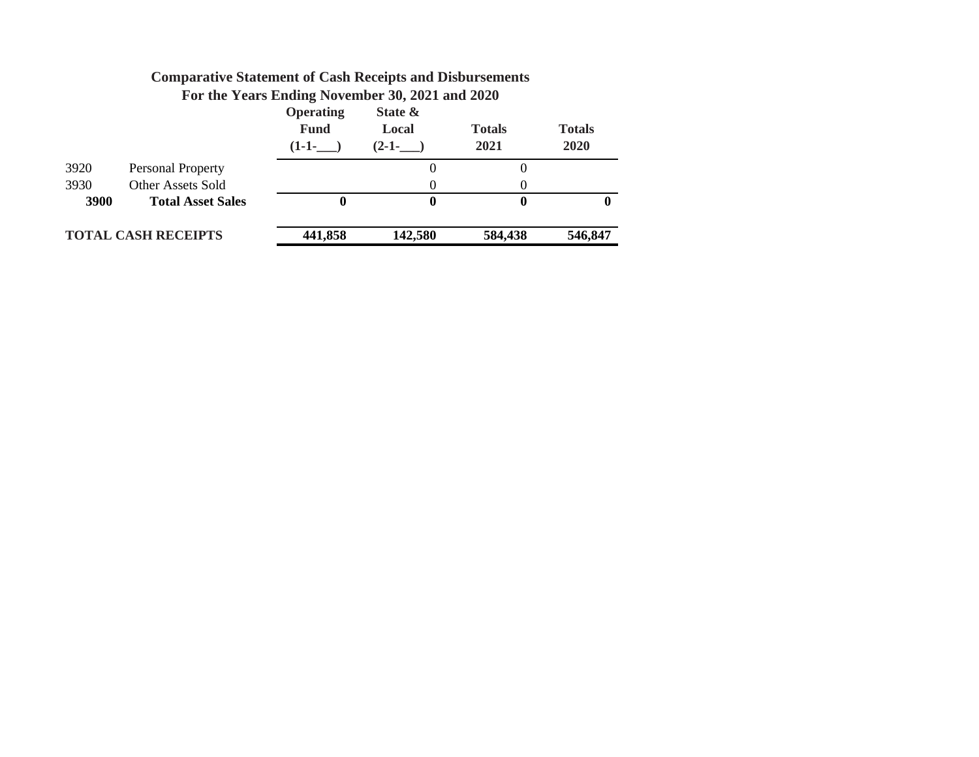|      |                            | <b>Operating</b><br><b>Fund</b><br>$(1-1-$ | State &<br>Local<br>$(2-1-$ | <b>Totals</b><br>2021 | <b>Totals</b><br>2020 |
|------|----------------------------|--------------------------------------------|-----------------------------|-----------------------|-----------------------|
| 3920 | Personal Property          |                                            | 0                           |                       |                       |
| 3930 | <b>Other Assets Sold</b>   |                                            | 0                           |                       |                       |
| 3900 | <b>Total Asset Sales</b>   |                                            | $\mathbf{0}$                | 0                     | O                     |
|      | <b>TOTAL CASH RECEIPTS</b> | 441,858                                    | 142,580                     | 584,438               | 546,847               |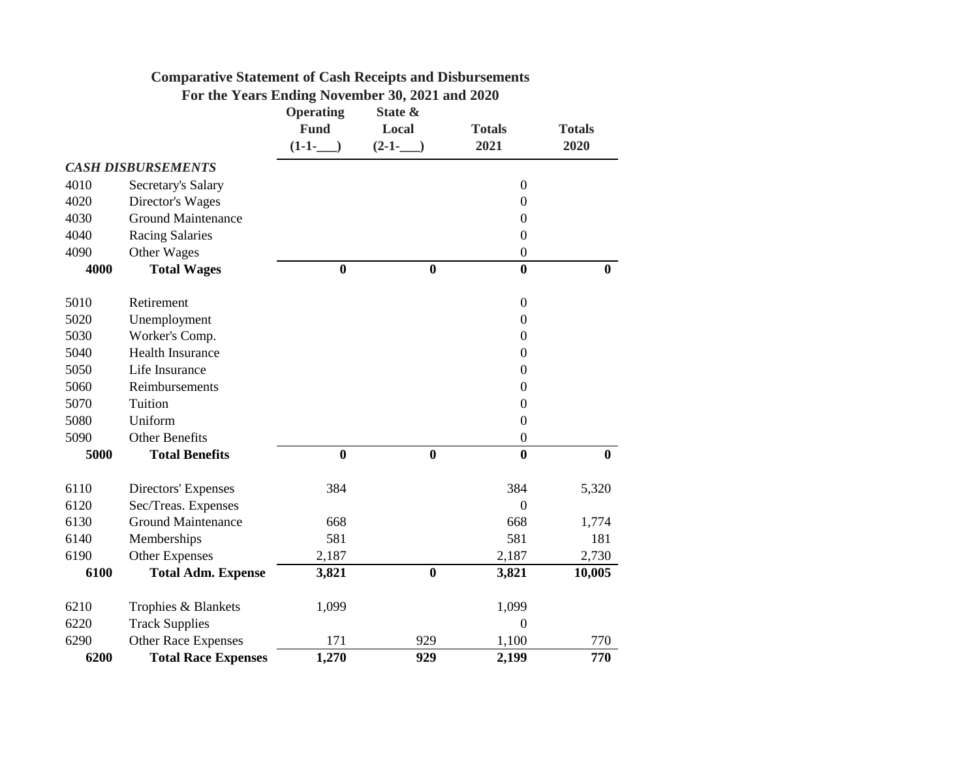|      | For the Years Ending November 30, 2021 and 2020 |                  |                  |                  |               |
|------|-------------------------------------------------|------------------|------------------|------------------|---------------|
|      |                                                 | <b>Operating</b> | State &          |                  |               |
|      |                                                 | <b>Fund</b>      | Local            | <b>Totals</b>    | <b>Totals</b> |
|      |                                                 | $(1-1-$          | $(2-1-$          | 2021             | 2020          |
|      | <b>CASH DISBURSEMENTS</b>                       |                  |                  |                  |               |
| 4010 | Secretary's Salary                              |                  |                  | $\boldsymbol{0}$ |               |
| 4020 | Director's Wages                                |                  |                  | $\boldsymbol{0}$ |               |
| 4030 | <b>Ground Maintenance</b>                       |                  |                  | $\boldsymbol{0}$ |               |
| 4040 | <b>Racing Salaries</b>                          |                  |                  | $\theta$         |               |
| 4090 | Other Wages                                     |                  |                  | $\mathbf{0}$     |               |
| 4000 | <b>Total Wages</b>                              | $\boldsymbol{0}$ | $\boldsymbol{0}$ | $\bf{0}$         | $\bf{0}$      |
| 5010 | Retirement                                      |                  |                  | $\boldsymbol{0}$ |               |
| 5020 | Unemployment                                    |                  |                  | $\boldsymbol{0}$ |               |
| 5030 | Worker's Comp.                                  |                  |                  | $\boldsymbol{0}$ |               |
| 5040 | <b>Health Insurance</b>                         |                  |                  | $\Omega$         |               |
| 5050 | Life Insurance                                  |                  |                  | $\overline{0}$   |               |
| 5060 | Reimbursements                                  |                  |                  | $\boldsymbol{0}$ |               |
| 5070 | Tuition                                         |                  |                  | $\boldsymbol{0}$ |               |
| 5080 | Uniform                                         |                  |                  | $\overline{0}$   |               |
| 5090 | <b>Other Benefits</b>                           |                  |                  | $\boldsymbol{0}$ |               |
| 5000 | <b>Total Benefits</b>                           | $\bf{0}$         | $\bf{0}$         | $\boldsymbol{0}$ | $\bf{0}$      |
| 6110 | Directors' Expenses                             | 384              |                  | 384              | 5,320         |
| 6120 | Sec/Treas. Expenses                             |                  |                  | $\boldsymbol{0}$ |               |
| 6130 | <b>Ground Maintenance</b>                       | 668              |                  | 668              | 1,774         |
| 6140 | Memberships                                     | 581              |                  | 581              | 181           |
| 6190 | <b>Other Expenses</b>                           | 2,187            |                  | 2,187            | 2,730         |
| 6100 | <b>Total Adm. Expense</b>                       | 3,821            | $\bf{0}$         | 3,821            | 10,005        |
| 6210 | Trophies & Blankets                             | 1,099            |                  | 1,099            |               |
| 6220 | <b>Track Supplies</b>                           |                  |                  | $\overline{0}$   |               |
| 6290 | Other Race Expenses                             | 171              | 929              | 1,100            | 770           |
| 6200 | <b>Total Race Expenses</b>                      | 1,270            | 929              | 2,199            | 770           |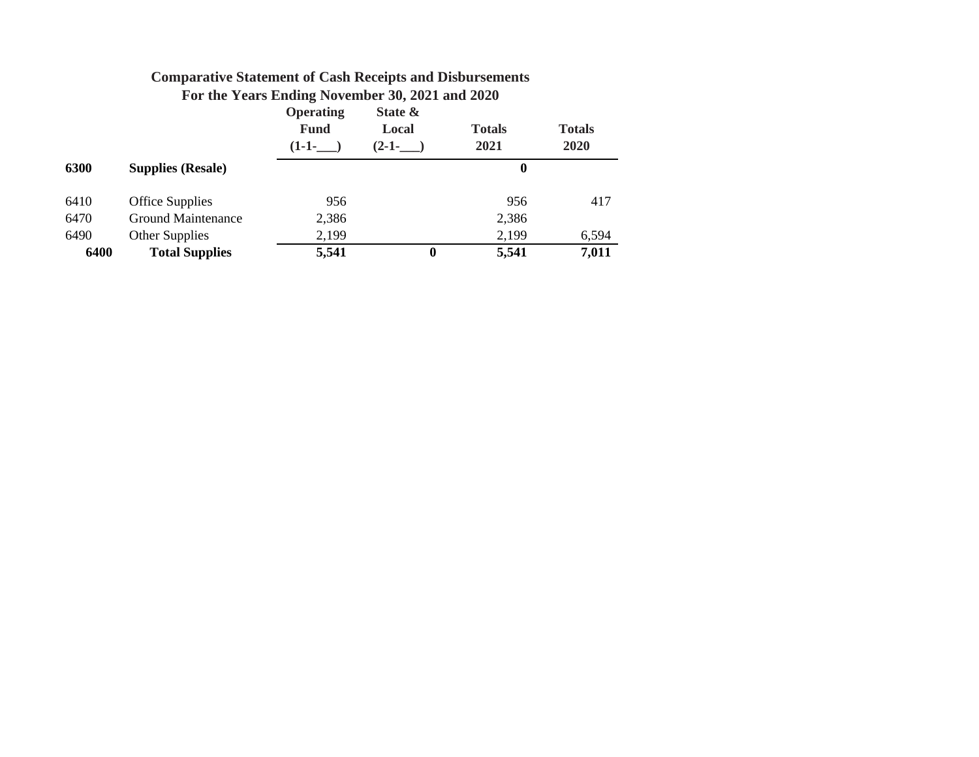|      |                           | Operating<br><b>Fund</b><br>$(1-1-$ | State &<br>Local<br>$(2-1-$ | <b>Totals</b><br>2021 | <b>Totals</b><br>2020 |
|------|---------------------------|-------------------------------------|-----------------------------|-----------------------|-----------------------|
| 6300 | <b>Supplies (Resale)</b>  |                                     |                             | 0                     |                       |
| 6410 | <b>Office Supplies</b>    | 956                                 |                             | 956                   | 417                   |
| 6470 | <b>Ground Maintenance</b> | 2,386                               |                             | 2,386                 |                       |
| 6490 | <b>Other Supplies</b>     | 2,199                               |                             | 2,199                 | 6,594                 |
| 6400 | <b>Total Supplies</b>     | 5,541                               | $\bf{0}$                    | 5,541                 | 7,011                 |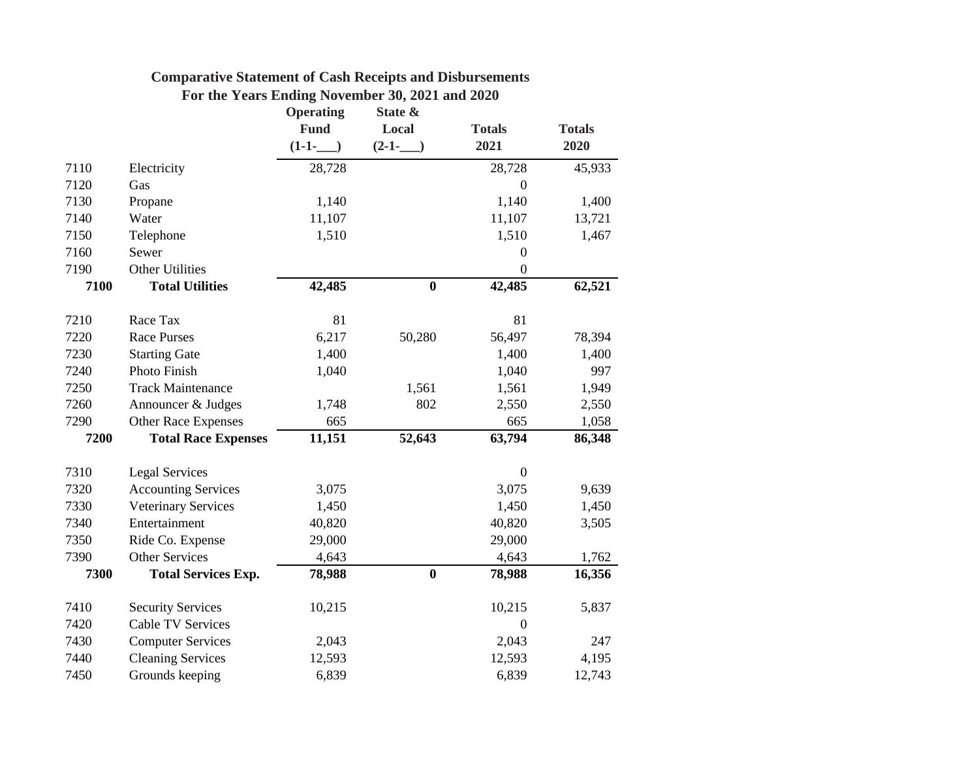| <b>Comparative Statement of Cash Receipts and Disbursements</b> |  |  |  |  |  |
|-----------------------------------------------------------------|--|--|--|--|--|
|-----------------------------------------------------------------|--|--|--|--|--|

|  |  | For the Years Ending November 30, 2021 and 2020 |  |  |
|--|--|-------------------------------------------------|--|--|
|  |  |                                                 |  |  |

|      |                            | <b>Operating</b> | State &          |                  |               |
|------|----------------------------|------------------|------------------|------------------|---------------|
|      |                            | <b>Fund</b>      | Local            | <b>Totals</b>    | <b>Totals</b> |
|      |                            | $(1-1-$          | $(2-1-$          | 2021             | 2020          |
| 7110 | Electricity                | 28,728           |                  | 28,728           | 45,933        |
| 7120 | Gas                        |                  |                  | $\mathbf{0}$     |               |
| 7130 | Propane                    | 1,140            |                  | 1,140            | 1,400         |
| 7140 | Water                      | 11,107           |                  | 11,107           | 13,721        |
| 7150 | Telephone                  | 1,510            |                  | 1,510            | 1,467         |
| 7160 | Sewer                      |                  |                  | $\boldsymbol{0}$ |               |
| 7190 | <b>Other Utilities</b>     |                  |                  | $\overline{0}$   |               |
| 7100 | <b>Total Utilities</b>     | 42,485           | $\boldsymbol{0}$ | 42,485           | 62,521        |
| 7210 | Race Tax                   | 81               |                  | 81               |               |
| 7220 | <b>Race Purses</b>         | 6,217            | 50,280           | 56,497           | 78,394        |
| 7230 | <b>Starting Gate</b>       | 1,400            |                  | 1,400            | 1,400         |
| 7240 | Photo Finish               | 1,040            |                  | 1,040            | 997           |
| 7250 | <b>Track Maintenance</b>   |                  | 1,561            | 1,561            | 1,949         |
| 7260 | Announcer & Judges         | 1,748            | 802              | 2,550            | 2,550         |
| 7290 | Other Race Expenses        | 665              |                  | 665              | 1,058         |
| 7200 | <b>Total Race Expenses</b> | 11,151           | 52,643           | 63,794           | 86,348        |
| 7310 | <b>Legal Services</b>      |                  |                  | $\mathbf{0}$     |               |
| 7320 | <b>Accounting Services</b> | 3,075            |                  | 3,075            | 9,639         |
| 7330 | <b>Veterinary Services</b> | 1,450            |                  | 1,450            | 1,450         |
| 7340 | Entertainment              | 40,820           |                  | 40,820           | 3,505         |
| 7350 | Ride Co. Expense           | 29,000           |                  | 29,000           |               |
| 7390 | <b>Other Services</b>      | 4,643            |                  | 4,643            | 1,762         |
| 7300 | <b>Total Services Exp.</b> | 78,988           | $\bf{0}$         | 78,988           | 16,356        |
| 7410 | <b>Security Services</b>   | 10,215           |                  | 10,215           | 5,837         |
| 7420 | <b>Cable TV Services</b>   |                  |                  | $\boldsymbol{0}$ |               |
| 7430 | <b>Computer Services</b>   | 2,043            |                  | 2,043            | 247           |
| 7440 | <b>Cleaning Services</b>   | 12,593           |                  | 12,593           | 4,195         |
| 7450 | Grounds keeping            | 6,839            |                  | 6,839            | 12,743        |
|      |                            |                  |                  |                  |               |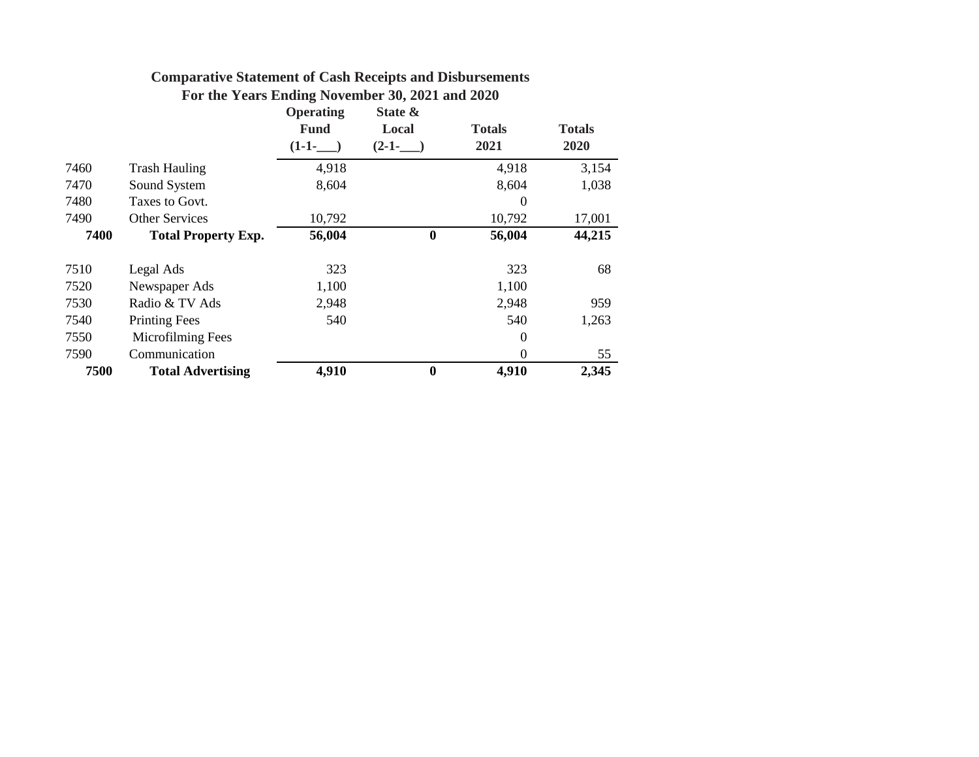|      |                            | <b>Operating</b> | State &          |                |               |
|------|----------------------------|------------------|------------------|----------------|---------------|
|      |                            | <b>Fund</b>      | Local            | <b>Totals</b>  | <b>Totals</b> |
|      |                            | $(1-1-$          | $(2-1-$          | 2021           | 2020          |
| 7460 | <b>Trash Hauling</b>       | 4,918            |                  | 4,918          | 3,154         |
| 7470 | Sound System               | 8,604            |                  | 8,604          | 1,038         |
| 7480 | Taxes to Govt.             |                  |                  | $\overline{0}$ |               |
| 7490 | <b>Other Services</b>      | 10,792           |                  | 10,792         | 17,001        |
| 7400 | <b>Total Property Exp.</b> | 56,004           | $\boldsymbol{0}$ | 56,004         | 44,215        |
|      |                            |                  |                  |                |               |
| 7510 | Legal Ads                  | 323              |                  | 323            | 68            |
| 7520 | Newspaper Ads              | 1,100            |                  | 1,100          |               |
| 7530 | Radio & TV Ads             | 2,948            |                  | 2,948          | 959           |
| 7540 | <b>Printing Fees</b>       | 540              |                  | 540            | 1,263         |
| 7550 | Microfilming Fees          |                  |                  | $\overline{0}$ |               |
| 7590 | Communication              |                  |                  | $\theta$       | 55            |
| 7500 | <b>Total Advertising</b>   | 4,910            | $\boldsymbol{0}$ | 4,910          | 2,345         |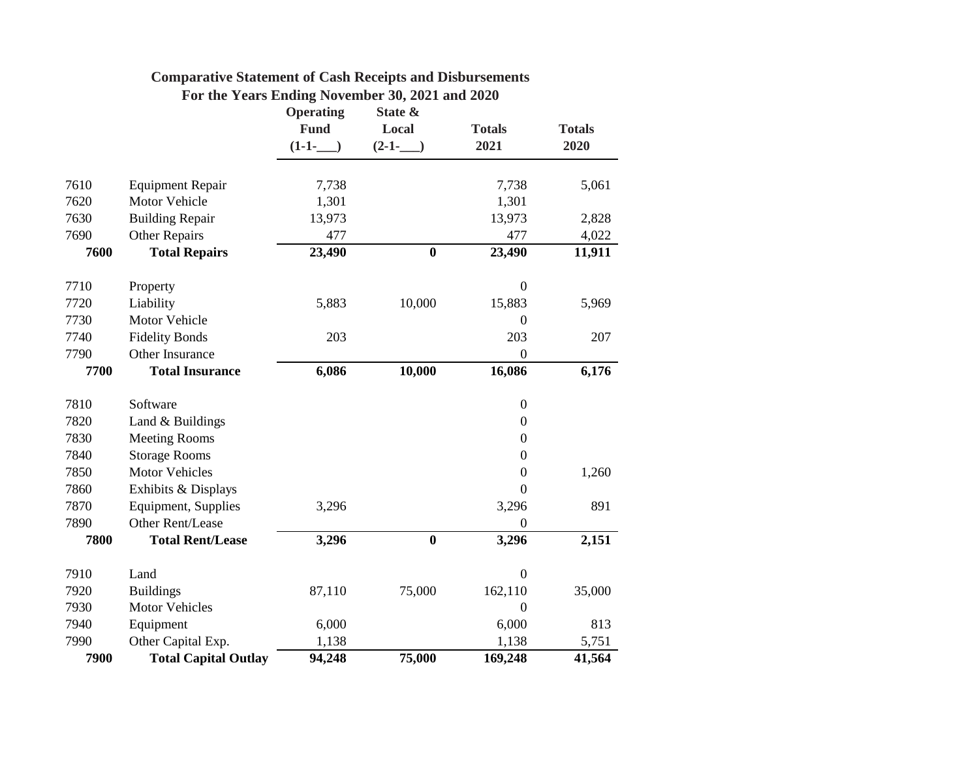|      |                             | <b>Operating</b> | State &          |                  |               |
|------|-----------------------------|------------------|------------------|------------------|---------------|
|      |                             | <b>Fund</b>      | Local            | <b>Totals</b>    | <b>Totals</b> |
|      |                             | $(1-1-$          | $(2-1-$          | 2021             | 2020          |
| 7610 | <b>Equipment Repair</b>     | 7,738            |                  | 7,738            | 5,061         |
| 7620 | <b>Motor Vehicle</b>        | 1,301            |                  | 1,301            |               |
| 7630 | <b>Building Repair</b>      | 13,973           |                  | 13,973           | 2,828         |
| 7690 | <b>Other Repairs</b>        | 477              |                  | 477              | 4,022         |
| 7600 | <b>Total Repairs</b>        | 23,490           | $\boldsymbol{0}$ | 23,490           | 11,911        |
| 7710 | Property                    |                  |                  | $\boldsymbol{0}$ |               |
| 7720 | Liability                   | 5,883            | 10,000           | 15,883           | 5,969         |
| 7730 | Motor Vehicle               |                  |                  | $\overline{0}$   |               |
| 7740 | <b>Fidelity Bonds</b>       | 203              |                  | 203              | 207           |
| 7790 | Other Insurance             |                  |                  | $\overline{0}$   |               |
| 7700 | <b>Total Insurance</b>      | 6,086            | 10,000           | 16,086           | 6,176         |
| 7810 | Software                    |                  |                  | $\boldsymbol{0}$ |               |
| 7820 | Land & Buildings            |                  |                  | $\overline{0}$   |               |
| 7830 | <b>Meeting Rooms</b>        |                  |                  | $\boldsymbol{0}$ |               |
| 7840 | <b>Storage Rooms</b>        |                  |                  | $\overline{0}$   |               |
| 7850 | <b>Motor Vehicles</b>       |                  |                  | $\boldsymbol{0}$ | 1,260         |
| 7860 | Exhibits & Displays         |                  |                  | $\overline{0}$   |               |
| 7870 | Equipment, Supplies         | 3,296            |                  | 3,296            | 891           |
| 7890 | Other Rent/Lease            |                  |                  | $\overline{0}$   |               |
| 7800 | <b>Total Rent/Lease</b>     | 3,296            | $\bf{0}$         | 3,296            | 2,151         |
| 7910 | Land                        |                  |                  | $\boldsymbol{0}$ |               |
| 7920 | <b>Buildings</b>            | 87,110           | 75,000           | 162,110          | 35,000        |
| 7930 | <b>Motor Vehicles</b>       |                  |                  | $\theta$         |               |
| 7940 | Equipment                   | 6,000            |                  | 6,000            | 813           |
| 7990 | Other Capital Exp.          | 1,138            |                  | 1,138            | 5,751         |
| 7900 | <b>Total Capital Outlay</b> | 94,248           | 75,000           | 169,248          | 41,564        |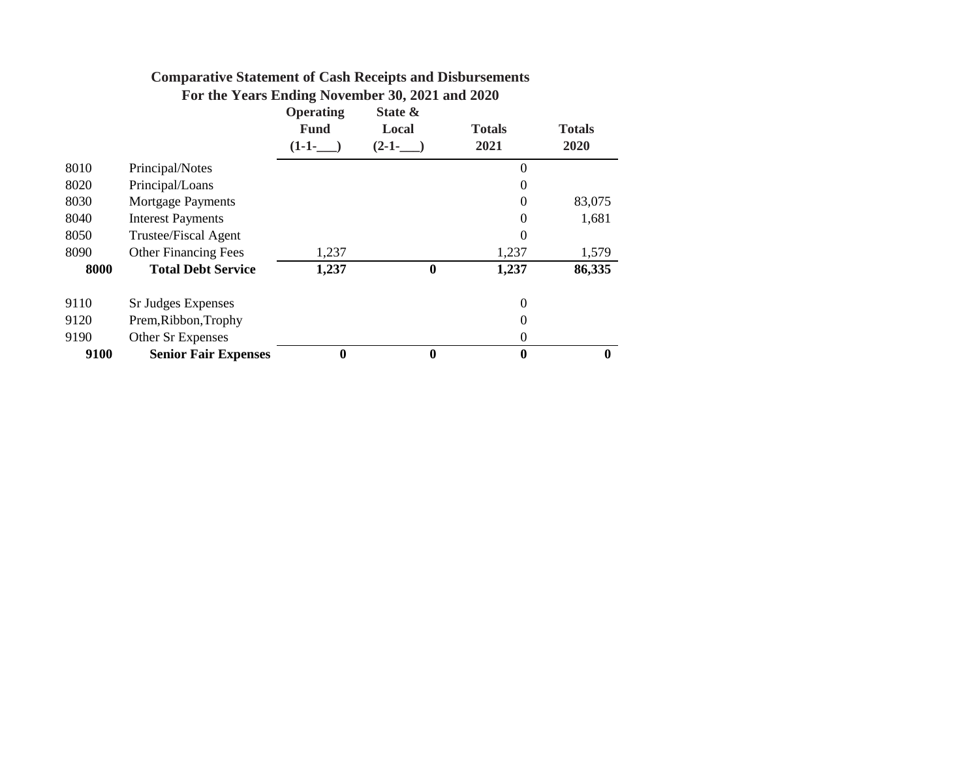|  |                                    |  | For the Years Ending November 30, 2021 and 2020 |
|--|------------------------------------|--|-------------------------------------------------|
|  | $\sim$ $\sim$ $\sim$ $\sim$ $\sim$ |  |                                                 |

|      |                             | <b>Operating</b><br><b>Fund</b><br>$(1-1-$ | State &<br>Local<br>$(2-1-$ | <b>Totals</b><br>2021 | <b>Totals</b><br>2020 |
|------|-----------------------------|--------------------------------------------|-----------------------------|-----------------------|-----------------------|
| 8010 | Principal/Notes             |                                            |                             | 0                     |                       |
| 8020 | Principal/Loans             |                                            |                             | $\theta$              |                       |
| 8030 | <b>Mortgage Payments</b>    |                                            |                             | $\boldsymbol{0}$      | 83,075                |
| 8040 | <b>Interest Payments</b>    |                                            |                             | $\boldsymbol{0}$      | 1,681                 |
| 8050 | Trustee/Fiscal Agent        |                                            |                             | 0                     |                       |
| 8090 | <b>Other Financing Fees</b> | 1,237                                      |                             | 1,237                 | 1,579                 |
| 8000 | <b>Total Debt Service</b>   | 1,237                                      | $\boldsymbol{0}$            | 1,237                 | 86,335                |
| 9110 | Sr Judges Expenses          |                                            |                             | 0                     |                       |
| 9120 | Prem, Ribbon, Trophy        |                                            |                             | 0                     |                       |
| 9190 | Other Sr Expenses           |                                            |                             | $\boldsymbol{0}$      |                       |
| 9100 | <b>Senior Fair Expenses</b> | $\bf{0}$                                   | $\boldsymbol{0}$            | $\boldsymbol{0}$      | $\boldsymbol{0}$      |